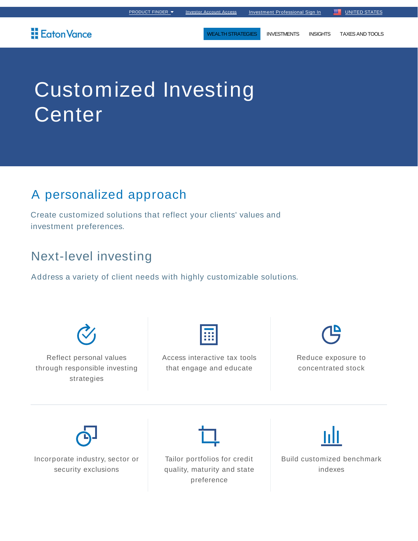## Eaton Vance

WEALTH STRATEGIES INVESTMENTS INSIGHTS TAXES AND TOOLS

# Customized Investing Center

# A personalized approach

Create customized solutions that reflect your clients' values and investment preferences.

# Next-level investing

Address a variety of client needs with highly customizable solutions.

Reflect personal values through responsible investing strategies

Access interactive tax tools that engage and educate

Reduce exposure to concentrated stock

Incorporate industry, sector or security exclusions

Tailor portfolios for credit quality, maturity and state preference

Build customized benchmark indexes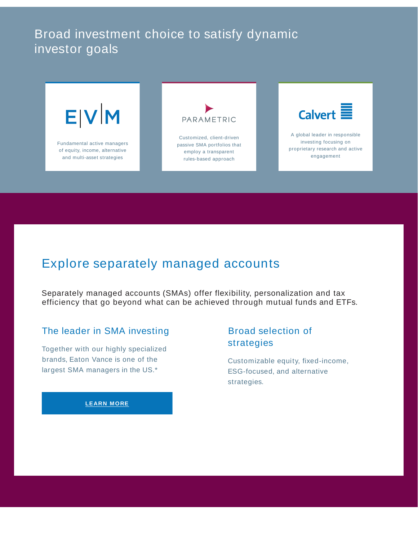## Broad investment choice to satisfy dynamic investor goals



## Explore separately managed accounts

Separately managed accounts (SMAs) offer flexibility, personalization and tax efficiency that go beyond what can be achieved through mutual funds and ETFs.

#### The leader in SMA investing

Together with our highly specialized brands, Eaton Vance is one of the largest SMA managers in the US.\*

#### Broad selection of strategies

Customizable equity, fixed-income, ESG-focused, and alternative strategies.

#### **LEARN MORE**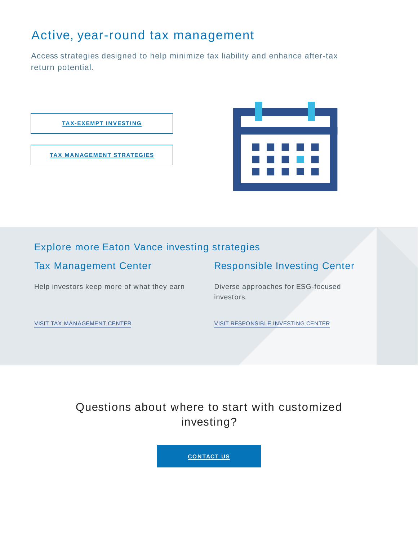# Active, year-round tax management

Access strategies designed to help minimize tax liability and enhance after-tax return potential.



### Explore more Eaton Vance investing strategies

| <b>Tax Management Center</b> | <b>Responsible Investing Center</b> |
|------------------------------|-------------------------------------|
|------------------------------|-------------------------------------|

Help investors keep more of what they earn

Diverse approaches for ESG-focused investors.

VISIT TAX MANAGEMENT CENTER

VISIT RESPONSIBLE INVESTING CENTER

Questions about where to start with customized investing?

**CONTACT US**